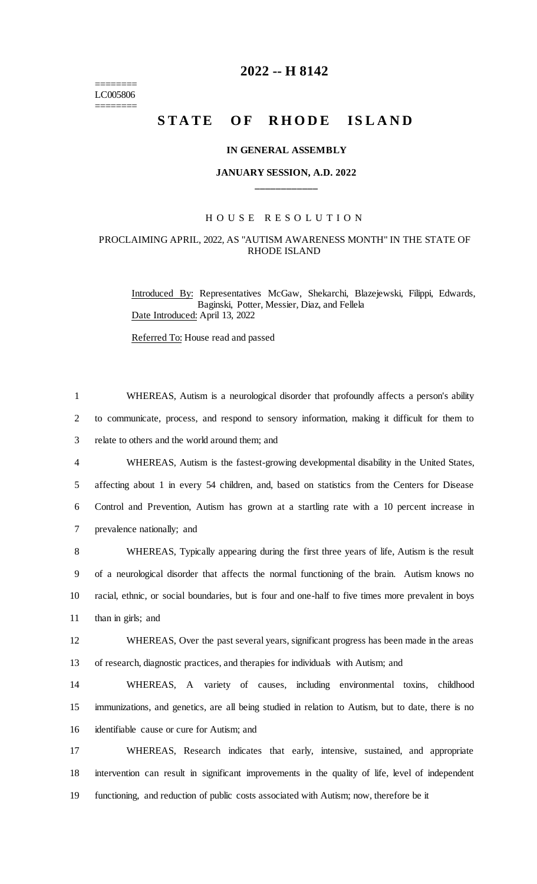======== LC005806 ========

# **2022 -- H 8142**

# **STATE OF RHODE ISLAND**

#### **IN GENERAL ASSEMBLY**

# **JANUARY SESSION, A.D. 2022 \_\_\_\_\_\_\_\_\_\_\_\_**

### H O U S E R E S O L U T I O N

## PROCLAIMING APRIL, 2022, AS "AUTISM AWARENESS MONTH" IN THE STATE OF RHODE ISLAND

Introduced By: Representatives McGaw, Shekarchi, Blazejewski, Filippi, Edwards, Baginski, Potter, Messier, Diaz, and Fellela Date Introduced: April 13, 2022

Referred To: House read and passed

 WHEREAS, Autism is a neurological disorder that profoundly affects a person's ability to communicate, process, and respond to sensory information, making it difficult for them to relate to others and the world around them; and WHEREAS, Autism is the fastest-growing developmental disability in the United States, affecting about 1 in every 54 children, and, based on statistics from the Centers for Disease Control and Prevention, Autism has grown at a startling rate with a 10 percent increase in prevalence nationally; and WHEREAS, Typically appearing during the first three years of life, Autism is the result of a neurological disorder that affects the normal functioning of the brain. Autism knows no racial, ethnic, or social boundaries, but is four and one-half to five times more prevalent in boys than in girls; and WHEREAS, Over the past several years, significant progress has been made in the areas of research, diagnostic practices, and therapies for individuals with Autism; and WHEREAS, A variety of causes, including environmental toxins, childhood immunizations, and genetics, are all being studied in relation to Autism, but to date, there is no identifiable cause or cure for Autism; and WHEREAS, Research indicates that early, intensive, sustained, and appropriate intervention can result in significant improvements in the quality of life, level of independent functioning, and reduction of public costs associated with Autism; now, therefore be it